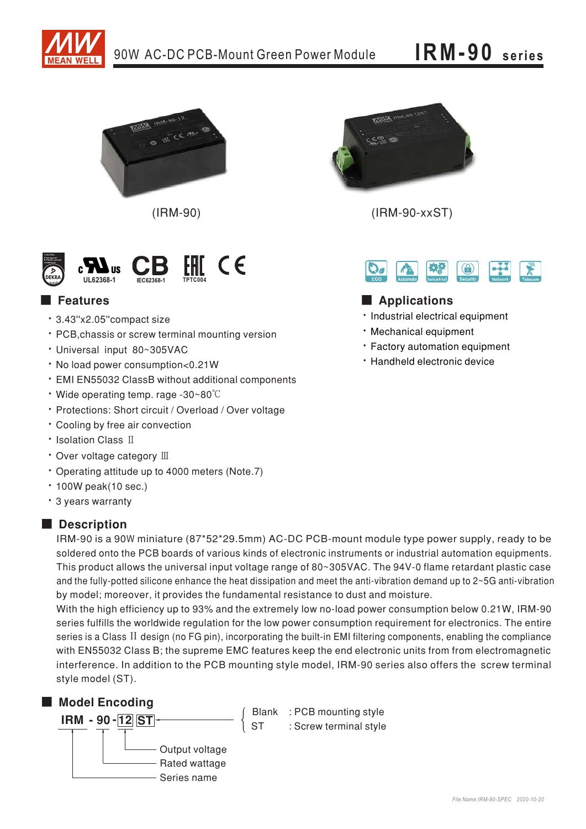



 $(IRM-90)$ 



## Features

- · 3.43"x2.05" compact size
- PCB, chassis or screw terminal mounting version
- · Universal input 80~305VAC
- . No load power consumption<0.21W
- · EMI EN55032 ClassB without additional components
- $\cdot$  Wide operating temp. rage -30~80 $\degree$ C
- · Protections: Short circuit / Overload / Over voltage
- Cooling by free air convection
- Isolation Class II
- Over voltage category III
- Operating attitude up to 4000 meters (Note.7)
- $\cdot$  100W peak(10 sec.)
- \* 3 years warranty

## Description

IRM-90 is a 90W miniature (87\*52\*29.5mm) AC-DC PCB-mount module type power supply, ready to be soldered onto the PCB boards of various kinds of electronic instruments or industrial automation equipments. This product allows the universal input voltage range of 80~305VAC. The 94V-0 flame retardant plastic case and the fully-potted silicone enhance the heat dissipation and meet the anti-vibration demand up to 2~5G anti-vibration by model; moreover, it provides the fundamental resistance to dust and moisture.

With the high efficiency up to 93% and the extremely low no-load power consumption below 0.21W, IRM-90 series fulfills the worldwide regulation for the low power consumption requirement for electronics. The entire series is a Class II design (no FG pin), incorporating the built-in EMI filtering components, enabling the compliance with EN55032 Class B; the supreme EMC features keep the end electronic units from from electromagnetic interference. In addition to the PCB mounting style model, IRM-90 series also offers the screw terminal style model (ST).

## Model Encoding



 $(IBM-90-xxST)$ 



## Applications

- · Industrial electrical equipment
- · Mechanical equipment
- \* Factory automation equipment
- \* Handheld electronic device

Blank : PCB mounting style  $\acute{0}$  ST : Screw terminal style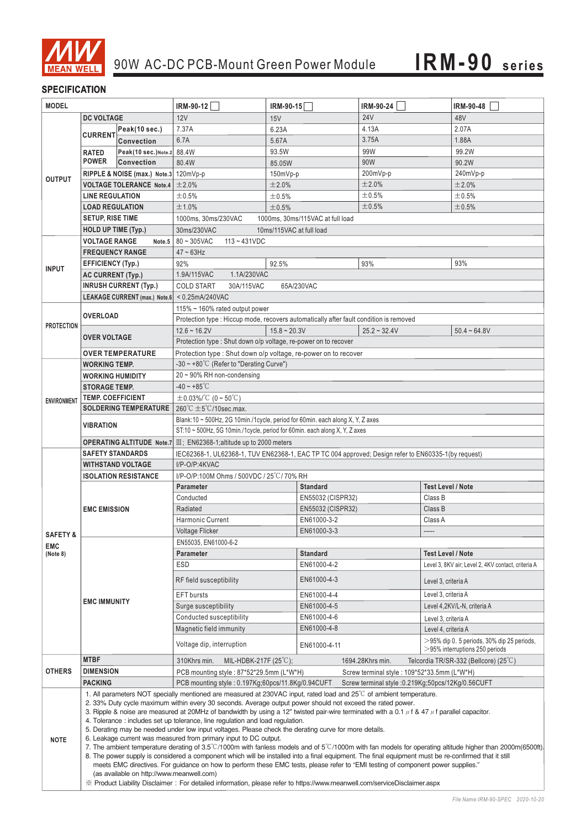

### **SPECIFICATION**

I

| <b>MODEL</b>           |                                                                                                                                                                                                                                                                                                                                                                                                                                                                                                                                                                                                                                                                                                                                                                                                                                                                                                                                                                                                                                                                                                                                                                       |                      | IRM-90-12                                                                                                           | $IRM-90-15$          | IRM-90-24      | <b>IRM-90-48</b>                                                                   |
|------------------------|-----------------------------------------------------------------------------------------------------------------------------------------------------------------------------------------------------------------------------------------------------------------------------------------------------------------------------------------------------------------------------------------------------------------------------------------------------------------------------------------------------------------------------------------------------------------------------------------------------------------------------------------------------------------------------------------------------------------------------------------------------------------------------------------------------------------------------------------------------------------------------------------------------------------------------------------------------------------------------------------------------------------------------------------------------------------------------------------------------------------------------------------------------------------------|----------------------|---------------------------------------------------------------------------------------------------------------------|----------------------|----------------|------------------------------------------------------------------------------------|
|                        | <b>DC VOLTAGE</b>                                                                                                                                                                                                                                                                                                                                                                                                                                                                                                                                                                                                                                                                                                                                                                                                                                                                                                                                                                                                                                                                                                                                                     |                      | 12V                                                                                                                 | 15V                  | <b>24V</b>     | 48V                                                                                |
| <b>OUTPUT</b>          |                                                                                                                                                                                                                                                                                                                                                                                                                                                                                                                                                                                                                                                                                                                                                                                                                                                                                                                                                                                                                                                                                                                                                                       | Peak(10 sec.)        | 7.37A                                                                                                               | 6.23A                | 4.13A          | 2.07A                                                                              |
|                        | <b>CURRENT</b>                                                                                                                                                                                                                                                                                                                                                                                                                                                                                                                                                                                                                                                                                                                                                                                                                                                                                                                                                                                                                                                                                                                                                        | <b>Convection</b>    | 6.7A                                                                                                                | 5.67A                | 3.75A          | 1.88A                                                                              |
|                        | <b>RATED</b>                                                                                                                                                                                                                                                                                                                                                                                                                                                                                                                                                                                                                                                                                                                                                                                                                                                                                                                                                                                                                                                                                                                                                          | Peak(10 sec.) Note.2 | 88.4W                                                                                                               | 93.5W                | 99W            | 99.2W                                                                              |
|                        | <b>POWER</b>                                                                                                                                                                                                                                                                                                                                                                                                                                                                                                                                                                                                                                                                                                                                                                                                                                                                                                                                                                                                                                                                                                                                                          | <b>Convection</b>    | 80.4W                                                                                                               | 85.05W               | 90W            | 90.2W                                                                              |
|                        | RIPPLE & NOISE (max.) Note.3 120mVp-p                                                                                                                                                                                                                                                                                                                                                                                                                                                                                                                                                                                                                                                                                                                                                                                                                                                                                                                                                                                                                                                                                                                                 |                      |                                                                                                                     | $150mVp-p$           | 200mVp-p       | 240mVp-p                                                                           |
|                        | <b>VOLTAGE TOLERANCE Note.4</b>                                                                                                                                                                                                                                                                                                                                                                                                                                                                                                                                                                                                                                                                                                                                                                                                                                                                                                                                                                                                                                                                                                                                       |                      | ±2.0%                                                                                                               | ±2.0%                | ±2.0%          | ±2.0%                                                                              |
|                        | <b>LINE REGULATION</b>                                                                                                                                                                                                                                                                                                                                                                                                                                                                                                                                                                                                                                                                                                                                                                                                                                                                                                                                                                                                                                                                                                                                                |                      | ±0.5%                                                                                                               | ±0.5%                | ±0.5%          | ±0.5%                                                                              |
|                        | <b>LOAD REGULATION</b>                                                                                                                                                                                                                                                                                                                                                                                                                                                                                                                                                                                                                                                                                                                                                                                                                                                                                                                                                                                                                                                                                                                                                |                      | ±1.0%                                                                                                               | ±0.5%                | ±0.5%          | ±0.5%                                                                              |
|                        | <b>SETUP, RISE TIME</b>                                                                                                                                                                                                                                                                                                                                                                                                                                                                                                                                                                                                                                                                                                                                                                                                                                                                                                                                                                                                                                                                                                                                               |                      | 1000ms, 30ms/230VAC<br>1000ms, 30ms/115VAC at full load                                                             |                      |                |                                                                                    |
|                        | HOLD UP TIME (Typ.)                                                                                                                                                                                                                                                                                                                                                                                                                                                                                                                                                                                                                                                                                                                                                                                                                                                                                                                                                                                                                                                                                                                                                   |                      | 30ms/230VAC<br>10ms/115VAC at full load                                                                             |                      |                |                                                                                    |
|                        | <b>VOLTAGE RANGE</b><br>Note.5                                                                                                                                                                                                                                                                                                                                                                                                                                                                                                                                                                                                                                                                                                                                                                                                                                                                                                                                                                                                                                                                                                                                        |                      | $80 - 305$ VAC<br>$113 - 431VDC$                                                                                    |                      |                |                                                                                    |
|                        | <b>FREQUENCY RANGE</b>                                                                                                                                                                                                                                                                                                                                                                                                                                                                                                                                                                                                                                                                                                                                                                                                                                                                                                                                                                                                                                                                                                                                                |                      | $47 \sim 63$ Hz                                                                                                     |                      |                |                                                                                    |
|                        | <b>EFFICIENCY (Typ.)</b>                                                                                                                                                                                                                                                                                                                                                                                                                                                                                                                                                                                                                                                                                                                                                                                                                                                                                                                                                                                                                                                                                                                                              |                      | 92%                                                                                                                 | 92.5%                | 93%            | 93%                                                                                |
| <b>INPUT</b>           | AC CURRENT (Typ.)                                                                                                                                                                                                                                                                                                                                                                                                                                                                                                                                                                                                                                                                                                                                                                                                                                                                                                                                                                                                                                                                                                                                                     |                      | 1.9A/115VAC<br>1.1A/230VAC                                                                                          |                      |                |                                                                                    |
|                        | <b>INRUSH CURRENT (Typ.)</b>                                                                                                                                                                                                                                                                                                                                                                                                                                                                                                                                                                                                                                                                                                                                                                                                                                                                                                                                                                                                                                                                                                                                          |                      | <b>COLD START</b><br>30A/115VAC<br>65A/230VAC                                                                       |                      |                |                                                                                    |
|                        | LEAKAGE CURRENT (max.) Note.6 < 0.25mA/240VAC                                                                                                                                                                                                                                                                                                                                                                                                                                                                                                                                                                                                                                                                                                                                                                                                                                                                                                                                                                                                                                                                                                                         |                      |                                                                                                                     |                      |                |                                                                                    |
|                        | <b>OVERLOAD</b>                                                                                                                                                                                                                                                                                                                                                                                                                                                                                                                                                                                                                                                                                                                                                                                                                                                                                                                                                                                                                                                                                                                                                       |                      | 115% ~ 160% rated output power                                                                                      |                      |                |                                                                                    |
|                        |                                                                                                                                                                                                                                                                                                                                                                                                                                                                                                                                                                                                                                                                                                                                                                                                                                                                                                                                                                                                                                                                                                                                                                       |                      | Protection type : Hiccup mode, recovers automatically after fault condition is removed                              |                      |                |                                                                                    |
| <b>PROTECTION</b>      |                                                                                                                                                                                                                                                                                                                                                                                                                                                                                                                                                                                                                                                                                                                                                                                                                                                                                                                                                                                                                                                                                                                                                                       |                      | $12.6 - 16.2V$                                                                                                      | $15.8 \approx 20.3V$ | $25.2 - 32.4V$ | $50.4 - 64.8V$                                                                     |
|                        | <b>OVER VOLTAGE</b><br><b>OVER TEMPERATURE</b>                                                                                                                                                                                                                                                                                                                                                                                                                                                                                                                                                                                                                                                                                                                                                                                                                                                                                                                                                                                                                                                                                                                        |                      | Protection type : Shut down o/p voltage, re-power on to recover                                                     |                      |                |                                                                                    |
|                        |                                                                                                                                                                                                                                                                                                                                                                                                                                                                                                                                                                                                                                                                                                                                                                                                                                                                                                                                                                                                                                                                                                                                                                       |                      | Protection type: Shut down o/p voltage, re-power on to recover                                                      |                      |                |                                                                                    |
|                        | <b>WORKING TEMP.</b>                                                                                                                                                                                                                                                                                                                                                                                                                                                                                                                                                                                                                                                                                                                                                                                                                                                                                                                                                                                                                                                                                                                                                  |                      | -30 $\sim$ +80°C (Refer to "Derating Curve")                                                                        |                      |                |                                                                                    |
| <b>ENVIRONMENT</b>     |                                                                                                                                                                                                                                                                                                                                                                                                                                                                                                                                                                                                                                                                                                                                                                                                                                                                                                                                                                                                                                                                                                                                                                       |                      | 20 ~ 90% RH non-condensing                                                                                          |                      |                |                                                                                    |
|                        | <b>WORKING HUMIDITY</b>                                                                                                                                                                                                                                                                                                                                                                                                                                                                                                                                                                                                                                                                                                                                                                                                                                                                                                                                                                                                                                                                                                                                               |                      | $-40 - +85^{\circ}$ C                                                                                               |                      |                |                                                                                    |
|                        | <b>STORAGE TEMP.</b>                                                                                                                                                                                                                                                                                                                                                                                                                                                                                                                                                                                                                                                                                                                                                                                                                                                                                                                                                                                                                                                                                                                                                  |                      | $\pm$ 0.03%/°C (0~50°C)                                                                                             |                      |                |                                                                                    |
|                        | <b>TEMP. COEFFICIENT</b><br><b>SOLDERING TEMPERATURE</b>                                                                                                                                                                                                                                                                                                                                                                                                                                                                                                                                                                                                                                                                                                                                                                                                                                                                                                                                                                                                                                                                                                              |                      | $260^{\circ}$ C $\pm$ 5 $^{\circ}$ C/10sec.max.                                                                     |                      |                |                                                                                    |
|                        | <b>VIBRATION</b>                                                                                                                                                                                                                                                                                                                                                                                                                                                                                                                                                                                                                                                                                                                                                                                                                                                                                                                                                                                                                                                                                                                                                      |                      | Blank:10 ~ 500Hz, 2G 10min./1cycle, period for 60min. each along X, Y, Z axes                                       |                      |                |                                                                                    |
|                        |                                                                                                                                                                                                                                                                                                                                                                                                                                                                                                                                                                                                                                                                                                                                                                                                                                                                                                                                                                                                                                                                                                                                                                       |                      | ST:10 ~ 500Hz, 5G 10min./1cycle, period for 60min. each along X, Y, Z axes                                          |                      |                |                                                                                    |
|                        |                                                                                                                                                                                                                                                                                                                                                                                                                                                                                                                                                                                                                                                                                                                                                                                                                                                                                                                                                                                                                                                                                                                                                                       |                      | <b>OPERATING ALTITUDE</b> Note.7 $\text{III}$ ; EN62368-1; altitude up to 2000 meters                               |                      |                |                                                                                    |
|                        | <b>SAFETY STANDARDS</b>                                                                                                                                                                                                                                                                                                                                                                                                                                                                                                                                                                                                                                                                                                                                                                                                                                                                                                                                                                                                                                                                                                                                               |                      | IEC62368-1, UL62368-1, TUV EN62368-1, EAC TP TC 004 approved; Design refer to EN60335-1(by request)                 |                      |                |                                                                                    |
|                        | <b>WITHSTAND VOLTAGE</b>                                                                                                                                                                                                                                                                                                                                                                                                                                                                                                                                                                                                                                                                                                                                                                                                                                                                                                                                                                                                                                                                                                                                              |                      | I/P-O/P:4KVAC                                                                                                       |                      |                |                                                                                    |
|                        | <b>ISOLATION RESISTANCE</b>                                                                                                                                                                                                                                                                                                                                                                                                                                                                                                                                                                                                                                                                                                                                                                                                                                                                                                                                                                                                                                                                                                                                           |                      | I/P-O/P:100M Ohms / 500VDC / 25°C/70% RH                                                                            |                      |                |                                                                                    |
|                        | <b>EMC EMISSION</b>                                                                                                                                                                                                                                                                                                                                                                                                                                                                                                                                                                                                                                                                                                                                                                                                                                                                                                                                                                                                                                                                                                                                                   |                      | Parameter                                                                                                           | <b>Standard</b>      |                | <b>Test Level / Note</b>                                                           |
|                        |                                                                                                                                                                                                                                                                                                                                                                                                                                                                                                                                                                                                                                                                                                                                                                                                                                                                                                                                                                                                                                                                                                                                                                       |                      | EN55032 (CISPR32)<br>Conducted                                                                                      |                      |                | Class B                                                                            |
|                        |                                                                                                                                                                                                                                                                                                                                                                                                                                                                                                                                                                                                                                                                                                                                                                                                                                                                                                                                                                                                                                                                                                                                                                       |                      | Radiated                                                                                                            | EN55032 (CISPR32)    |                | Class B                                                                            |
|                        |                                                                                                                                                                                                                                                                                                                                                                                                                                                                                                                                                                                                                                                                                                                                                                                                                                                                                                                                                                                                                                                                                                                                                                       |                      | <b>Harmonic Current</b>                                                                                             | EN61000-3-2          |                | Class A                                                                            |
|                        |                                                                                                                                                                                                                                                                                                                                                                                                                                                                                                                                                                                                                                                                                                                                                                                                                                                                                                                                                                                                                                                                                                                                                                       |                      | <b>Voltage Flicker</b>                                                                                              | EN61000-3-3          |                | -----                                                                              |
| <b>SAFETY &amp;</b>    | <b>EMC IMMUNITY</b>                                                                                                                                                                                                                                                                                                                                                                                                                                                                                                                                                                                                                                                                                                                                                                                                                                                                                                                                                                                                                                                                                                                                                   |                      | EN55035, EN61000-6-2                                                                                                |                      |                |                                                                                    |
| <b>EMC</b><br>(Note 8) |                                                                                                                                                                                                                                                                                                                                                                                                                                                                                                                                                                                                                                                                                                                                                                                                                                                                                                                                                                                                                                                                                                                                                                       |                      | Parameter                                                                                                           | <b>Standard</b>      |                | <b>Test Level / Note</b>                                                           |
|                        |                                                                                                                                                                                                                                                                                                                                                                                                                                                                                                                                                                                                                                                                                                                                                                                                                                                                                                                                                                                                                                                                                                                                                                       |                      | ESD                                                                                                                 | EN61000-4-2          |                | Level 3, 8KV air; Level 2, 4KV contact, criteria A                                 |
|                        |                                                                                                                                                                                                                                                                                                                                                                                                                                                                                                                                                                                                                                                                                                                                                                                                                                                                                                                                                                                                                                                                                                                                                                       |                      |                                                                                                                     |                      |                |                                                                                    |
|                        |                                                                                                                                                                                                                                                                                                                                                                                                                                                                                                                                                                                                                                                                                                                                                                                                                                                                                                                                                                                                                                                                                                                                                                       |                      | RF field susceptibility                                                                                             | EN61000-4-3          |                | Level 3, criteria A                                                                |
|                        |                                                                                                                                                                                                                                                                                                                                                                                                                                                                                                                                                                                                                                                                                                                                                                                                                                                                                                                                                                                                                                                                                                                                                                       |                      | <b>EFT</b> bursts                                                                                                   | EN61000-4-4          |                | Level 3, criteria A                                                                |
|                        |                                                                                                                                                                                                                                                                                                                                                                                                                                                                                                                                                                                                                                                                                                                                                                                                                                                                                                                                                                                                                                                                                                                                                                       |                      | Surge susceptibility                                                                                                | EN61000-4-5          |                | Level 4,2KV/L-N, criteria A                                                        |
|                        |                                                                                                                                                                                                                                                                                                                                                                                                                                                                                                                                                                                                                                                                                                                                                                                                                                                                                                                                                                                                                                                                                                                                                                       |                      | Conducted susceptibility                                                                                            | EN61000-4-6          |                | Level 3, criteria A                                                                |
|                        |                                                                                                                                                                                                                                                                                                                                                                                                                                                                                                                                                                                                                                                                                                                                                                                                                                                                                                                                                                                                                                                                                                                                                                       |                      | Magnetic field immunity                                                                                             | EN61000-4-8          |                | Level 4, criteria A                                                                |
|                        |                                                                                                                                                                                                                                                                                                                                                                                                                                                                                                                                                                                                                                                                                                                                                                                                                                                                                                                                                                                                                                                                                                                                                                       |                      | Voltage dip, interruption                                                                                           | EN61000-4-11         |                | $>$ 95% dip 0. 5 periods, 30% dip 25 periods,<br>$>$ 95% interruptions 250 periods |
|                        | <b>MTBF</b>                                                                                                                                                                                                                                                                                                                                                                                                                                                                                                                                                                                                                                                                                                                                                                                                                                                                                                                                                                                                                                                                                                                                                           |                      | 1694.28Khrs min.<br>MIL-HDBK-217F $(25^{\circ}\text{C})$ ;<br>310Khrs min.<br>Telcordia TR/SR-332 (Bellcore) (25°C) |                      |                |                                                                                    |
| <b>OTHERS</b>          | <b>DIMENSION</b>                                                                                                                                                                                                                                                                                                                                                                                                                                                                                                                                                                                                                                                                                                                                                                                                                                                                                                                                                                                                                                                                                                                                                      |                      | PCB mounting style: 87*52*29.5mm (L*W*H)<br>Screw terminal style: 109*52*33.5mm (L*W*H)                             |                      |                |                                                                                    |
|                        | <b>PACKING</b>                                                                                                                                                                                                                                                                                                                                                                                                                                                                                                                                                                                                                                                                                                                                                                                                                                                                                                                                                                                                                                                                                                                                                        |                      | PCB mounting style : 0.197Kg;60pcs/11.8Kg/0.94CUFT Screw terminal style :0.219Kg;50pcs/12Kg/0.56CUFT                |                      |                |                                                                                    |
| <b>NOTE</b>            | 1. All parameters NOT specially mentioned are measured at 230VAC input, rated load and $25^{\circ}$ of ambient temperature.<br>2. 33% Duty cycle maximum within every 30 seconds. Average output power should not exceed the rated power.<br>3. Ripple & noise are measured at 20MHz of bandwidth by using a 12" twisted pair-wire terminated with a 0.1 $\mu$ f & 47 $\mu$ f parallel capacitor.<br>4. Tolerance: includes set up tolerance, line regulation and load regulation.<br>5. Derating may be needed under low input voltages. Please check the derating curve for more details.<br>6. Leakage current was measured from primary input to DC output.<br>7. The ambient temperature derating of 3.5°C/1000m with fanless models and of 5°C/1000m with fan models for operating altitude higher than 2000m(6500ft).<br>8. The power supply is considered a component which will be installed into a final equipment. The final equipment must be re-confirmed that it still<br>meets EMC directives. For guidance on how to perform these EMC tests, please refer to "EMI testing of component power supplies."<br>(as available on http://www.meanwell.com) |                      |                                                                                                                     |                      |                |                                                                                    |
|                        | X Product Liability Disclaimer: For detailed information, please refer to https://www.meanwell.com/serviceDisclaimer.aspx                                                                                                                                                                                                                                                                                                                                                                                                                                                                                                                                                                                                                                                                                                                                                                                                                                                                                                                                                                                                                                             |                      |                                                                                                                     |                      |                |                                                                                    |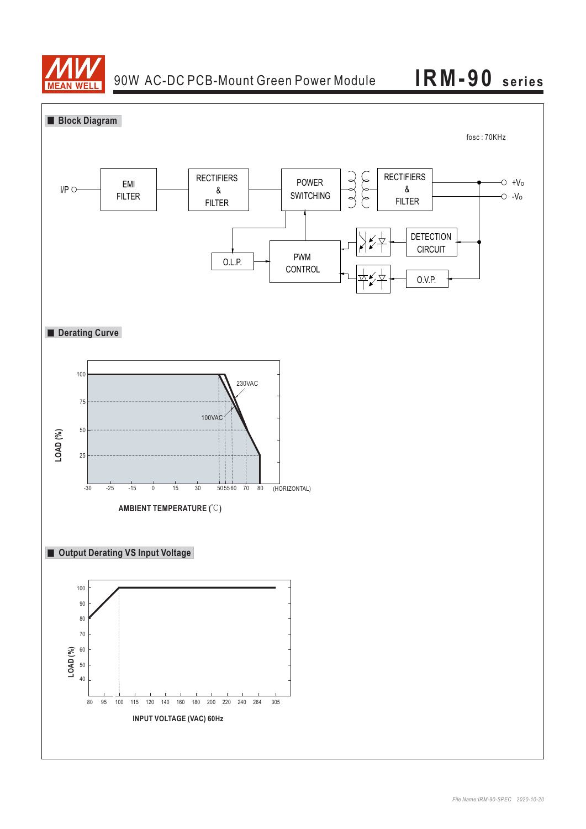